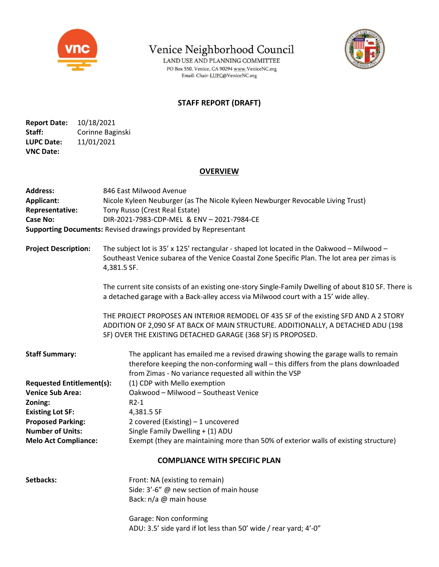

Venice Neighborhood Council

LAND USE AND PLANNING COMMITTEE PO Box 550, Venice, CA 90294 www.VeniceNC.org Email: Chair-LUPC@VeniceNC.org



## STAFF REPORT (DRAFT)

Report Date: 10/18/2021 Staff: Corinne Baginski LUPC Date: 11/01/2021 VNC Date:

## **OVERVIEW**

| <b>Address:</b><br><b>Applicant:</b><br>Representative:<br><b>Case No:</b> | 846 East Milwood Avenue<br>Nicole Kyleen Neuburger (as The Nicole Kyleen Newburger Revocable Living Trust)<br>Tony Russo (Crest Real Estate)<br>DIR-2021-7983-CDP-MEL & ENV - 2021-7984-CE<br><b>Supporting Documents: Revised drawings provided by Representant</b> |  |  |
|----------------------------------------------------------------------------|----------------------------------------------------------------------------------------------------------------------------------------------------------------------------------------------------------------------------------------------------------------------|--|--|
| <b>Project Description:</b>                                                | The subject lot is $35'$ x 125' rectangular - shaped lot located in the Oakwood - Milwood -<br>Southeast Venice subarea of the Venice Coastal Zone Specific Plan. The lot area per zimas is<br>4,381.5 SF.                                                           |  |  |
|                                                                            | The current site consists of an existing one-story Single-Family Dwelling of about 810 SF. There is<br>a detached garage with a Back-alley access via Milwood court with a 15' wide alley.                                                                           |  |  |
|                                                                            | THE PROJECT PROPOSES AN INTERIOR REMODEL OF 435 SF of the existing SFD AND A 2 STORY<br>ADDITION OF 2,090 SF AT BACK OF MAIN STRUCTURE. ADDITIONALLY, A DETACHED ADU (198<br>SF) OVER THE EXISTING DETACHED GARAGE (368 SF) IS PROPOSED.                             |  |  |
| <b>Staff Summary:</b>                                                      | The applicant has emailed me a revised drawing showing the garage walls to remain<br>therefore keeping the non-conforming wall - this differs from the plans downloaded<br>from Zimas - No variance requested all within the VSP                                     |  |  |
| <b>Requested Entitlement(s):</b>                                           | (1) CDP with Mello exemption                                                                                                                                                                                                                                         |  |  |
| <b>Venice Sub Area:</b>                                                    | Oakwood - Milwood - Southeast Venice                                                                                                                                                                                                                                 |  |  |
| Zoning:                                                                    | $R2-1$                                                                                                                                                                                                                                                               |  |  |
| <b>Existing Lot SF:</b>                                                    | 4,381.5 SF                                                                                                                                                                                                                                                           |  |  |
| <b>Proposed Parking:</b>                                                   | 2 covered (Existing) - 1 uncovered                                                                                                                                                                                                                                   |  |  |
| <b>Number of Units:</b>                                                    | Single Family Dwelling + (1) ADU                                                                                                                                                                                                                                     |  |  |
| <b>Melo Act Compliance:</b>                                                | Exempt (they are maintaining more than 50% of exterior walls of existing structure)                                                                                                                                                                                  |  |  |
| <b>COMPLIANCE WITH SPECIFIC PLAN</b>                                       |                                                                                                                                                                                                                                                                      |  |  |
| Setbacks:                                                                  | Front: NA (existing to remain)<br>Side: 3'-6" @ new section of main house<br>Back: n/a @ main house                                                                                                                                                                  |  |  |

 Garage: Non conforming ADU: 3.5' side yard if lot less than 50' wide / rear yard; 4'-0"